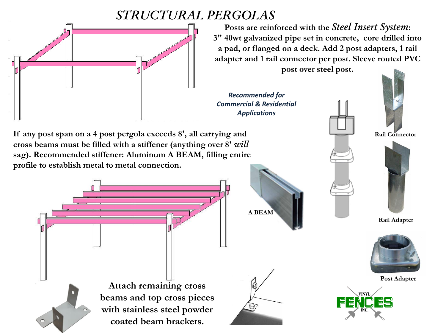## *STRUCTURAL PERGOLAS*



**Posts are reinforced with the** *Steel Insert System***: 3" 40wt galvanized pipe set in concrete, core drilled into a pad, or flanged on a deck. Add 2 post adapters, 1 rail adapter and 1 rail connector per post. Sleeve routed PVC post over steel post.**

*Recommended for Commercial & Residential Applications*

**If any post span on a 4 post pergola exceeds 8', all carrying and cross beams must be filled with a stiffener (anything over 8'** *will* **sag). Recommended stiffener: Aluminum A BEAM, filling entire profile to establish metal to metal connection.**





**Rail Connector**



**Rail Adapter**







**Attach remaining cross beams and top cross pieces with stainless steel powder coated beam brackets.**